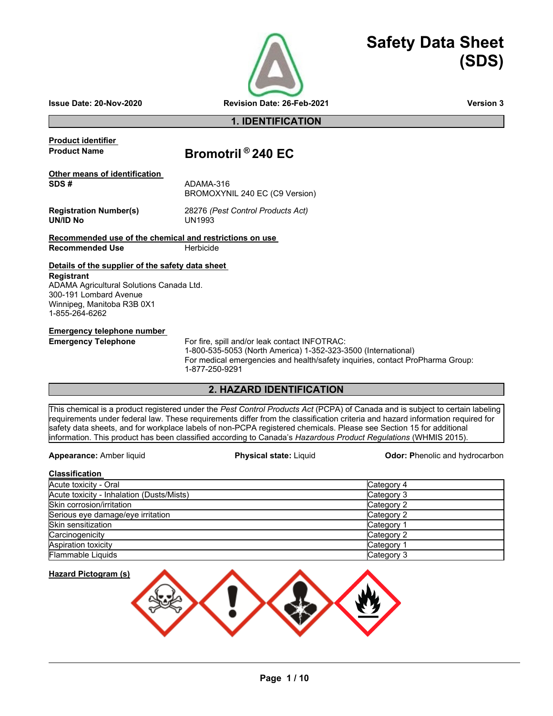

# **Safety Data Sheet (SDS)**

**Issue Date: 20-Nov-2020 Revision Date: 26-Feb-2021 Version 3**

## **1. IDENTIFICATION**

**Product identifier** 

## **Product Name Bromotril ® 240 EC**

**Other means of identification SDS #** ADAMA-316 BROMOXYNIL 240 EC (C9 Version)

**UN/ID No** 

**Registration Number(s)** 28276 *(Pest Control Products Act)*

**Recommended use of the chemical and restrictions on use Recommended Use <b>Branch** Herbicide

## **Details of the supplier of the safety data sheet**

**Registrant** ADAMA Agricultural Solutions Canada Ltd. 300-191 Lombard Avenue Winnipeg, Manitoba R3B 0X1 1-855-264-6262

**Emergency telephone number** 

**Emergency Telephone** For fire, spill and/or leak contact INFOTRAC: 1-800-535-5053 (North America) 1-352-323-3500 (International) For medical emergencies and health/safety inquiries, contact ProPharma Group: 1-877-250-9291

## **2. HAZARD IDENTIFICATION**

This chemical is a product registered under the *Pest Control Products Act* (PCPA) of Canada and is subject to certain labeling requirements under federal law. These requirements differ from the classification criteria and hazard information required for safety data sheets, and for workplace labels of non-PCPA registered chemicals. Please see Section 15 for additional information. This product has been classified according to Canada's *Hazardous Product Regulations* (WHMIS 2015).

**Appearance:** Amber liquid **Physical state:** Liquid **Odor: P**henolic and hydrocarbon

| <b>Classification</b>                     |            |
|-------------------------------------------|------------|
| Acute toxicity - Oral                     | Category 4 |
| Acute toxicity - Inhalation (Dusts/Mists) | Category 3 |
| Skin corrosion/irritation                 | Category 2 |
| Serious eye damage/eye irritation         | Category 2 |
| Skin sensitization                        | Category 1 |
| Carcinogenicity                           | Category 2 |
| <b>Aspiration toxicity</b>                | Category 1 |
| <b>Flammable Liquids</b>                  | Category 3 |



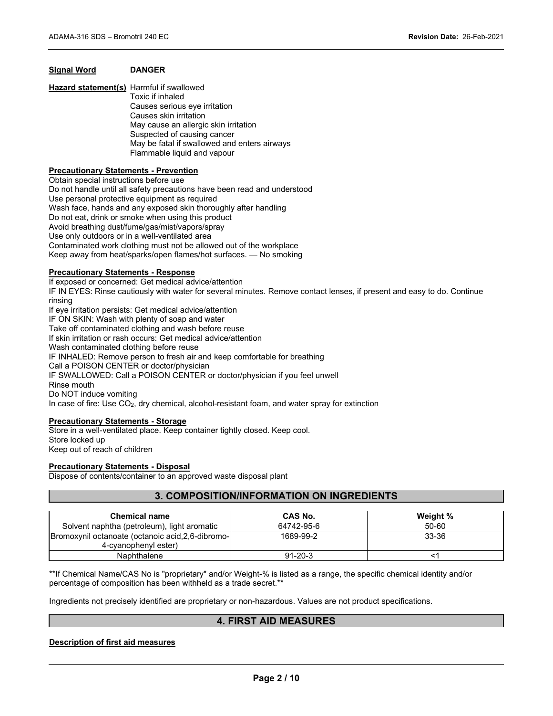## **Signal Word DANGER**

**Hazard statement(s)** Harmful if swallowed Toxic if inhaled Causes serious eye irritation Causes skin irritation May cause an allergic skin irritation Suspected of causing cancer May be fatal if swallowed and enters airways Flammable liquid and vapour

## **Precautionary Statements - Prevention**

Obtain special instructions before use Do not handle until all safety precautions have been read and understood Use personal protective equipment as required Wash face, hands and any exposed skin thoroughly after handling Do not eat, drink or smoke when using this product Avoid breathing dust/fume/gas/mist/vapors/spray Use only outdoors or in a well-ventilated area Contaminated work clothing must not be allowed out of the workplace Keep away from heat/sparks/open flames/hot surfaces. — No smoking

## **Precautionary Statements - Response**

If exposed or concerned: Get medical advice/attention IF IN EYES: Rinse cautiously with water for several minutes. Remove contact lenses, if present and easy to do. Continue rinsing If eye irritation persists: Get medical advice/attention IF ON SKIN: Wash with plenty of soap and water Take off contaminated clothing and wash before reuse If skin irritation or rash occurs: Get medical advice/attention Wash contaminated clothing before reuse IF INHALED: Remove person to fresh air and keep comfortable for breathing Call a POISON CENTER or doctor/physician IF SWALLOWED: Call a POISON CENTER or doctor/physician if you feel unwell Rinse mouth Do NOT induce vomiting In case of fire: Use CO2, dry chemical, alcohol-resistant foam, and water spray for extinction

#### **Precautionary Statements - Storage**

Store in a well-ventilated place. Keep container tightly closed. Keep cool. Store locked up Keep out of reach of children

#### **Precautionary Statements - Disposal**

Dispose of contents/container to an approved waste disposal plant

## **3. COMPOSITION/INFORMATION ON INGREDIENTS**

| <b>Chemical name</b>                                                       | <b>CAS No.</b> | Weight % |
|----------------------------------------------------------------------------|----------------|----------|
| Solvent naphtha (petroleum), light aromatic                                | 64742-95-6     | 50-60    |
| Bromoxynil octanoate (octanoic acid, 2, 6-dibromo-<br>4-cvanophenyl ester) | 1689-99-2      | 33-36    |
| Naphthalene                                                                | $91 - 20 - 3$  |          |

\*\*If Chemical Name/CAS No is "proprietary" and/or Weight-% is listed as a range, the specific chemical identity and/or percentage of composition has been withheld as a trade secret.\*\*

Ingredients not precisely identified are proprietary or non-hazardous. Values are not product specifications.

## **4. FIRST AID MEASURES**

## **Description of first aid measures**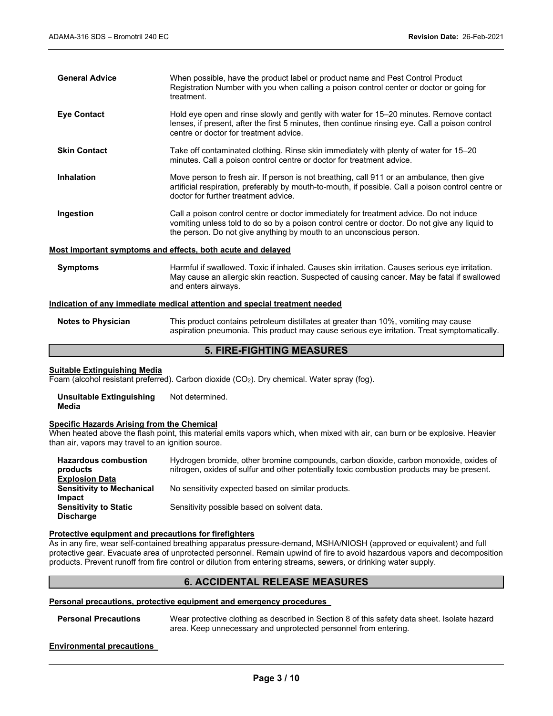| <b>General Advice</b> | When possible, have the product label or product name and Pest Control Product<br>Registration Number with you when calling a poison control center or doctor or going for<br>treatment.                                                                       |
|-----------------------|----------------------------------------------------------------------------------------------------------------------------------------------------------------------------------------------------------------------------------------------------------------|
| <b>Eye Contact</b>    | Hold eye open and rinse slowly and gently with water for 15–20 minutes. Remove contact<br>lenses, if present, after the first 5 minutes, then continue rinsing eye. Call a poison control<br>centre or doctor for treatment advice.                            |
| <b>Skin Contact</b>   | Take off contaminated clothing. Rinse skin immediately with plenty of water for 15–20<br>minutes. Call a poison control centre or doctor for treatment advice.                                                                                                 |
| <b>Inhalation</b>     | Move person to fresh air. If person is not breathing, call 911 or an ambulance, then give<br>artificial respiration, preferably by mouth-to-mouth, if possible. Call a poison control centre or<br>doctor for further treatment advice.                        |
| Ingestion             | Call a poison control centre or doctor immediately for treatment advice. Do not induce<br>vomiting unless told to do so by a poison control centre or doctor. Do not give any liquid to<br>the person. Do not give anything by mouth to an unconscious person. |
|                       | Most important symptoms and effects, both acute and delayed                                                                                                                                                                                                    |
| <b>Symptoms</b>       | Harmful if swallowed. Toxic if inhaled. Causes skin irritation. Causes serious eye irritation.                                                                                                                                                                 |

## **Indication of any immediate medical attention and special treatment needed**

and enters airways.

| <b>Notes to Physician</b> | This product contains petroleum distillates at greater than 10%, vomiting may cause         |
|---------------------------|---------------------------------------------------------------------------------------------|
|                           | aspiration pneumonia. This product may cause serious eye irritation. Treat symptomatically. |

May cause an allergic skin reaction. Suspected of causing cancer. May be fatal if swallowed

## **5. FIRE-FIGHTING MEASURES**

#### **Suitable Extinguishing Media**

Foam (alcohol resistant preferred). Carbon dioxide (CO<sub>2</sub>). Dry chemical. Water spray (fog).

**Unsuitable Extinguishing Media** Not determined.

#### **Specific Hazards Arising from the Chemical**

When heated above the flash point, this material emits vapors which, when mixed with air, can burn or be explosive. Heavier than air, vapors may travel to an ignition source.

| <b>Hazardous combustion</b>      | Hydrogen bromide, other bromine compounds, carbon dioxide, carbon monoxide, oxides of      |
|----------------------------------|--------------------------------------------------------------------------------------------|
| products                         | nitrogen, oxides of sulfur and other potentially toxic combustion products may be present. |
| <b>Explosion Data</b>            |                                                                                            |
| <b>Sensitivity to Mechanical</b> | No sensitivity expected based on similar products.                                         |
| <b>Impact</b>                    |                                                                                            |
| <b>Sensitivity to Static</b>     | Sensitivity possible based on solvent data.                                                |
| <b>Discharge</b>                 |                                                                                            |
|                                  |                                                                                            |

#### **Protective equipment and precautions for firefighters**

As in any fire, wear self-contained breathing apparatus pressure-demand, MSHA/NIOSH (approved or equivalent) and full protective gear. Evacuate area of unprotected personnel. Remain upwind of fire to avoid hazardous vapors and decomposition products. Prevent runoff from fire control or dilution from entering streams, sewers, or drinking water supply.

## **6. ACCIDENTAL RELEASE MEASURES**

## **Personal precautions, protective equipment and emergency procedures**

**Personal Precautions** Wear protective clothing as described in Section 8 of this safety data sheet. Isolate hazard area. Keep unnecessary and unprotected personnel from entering.

## **Environmental precautions**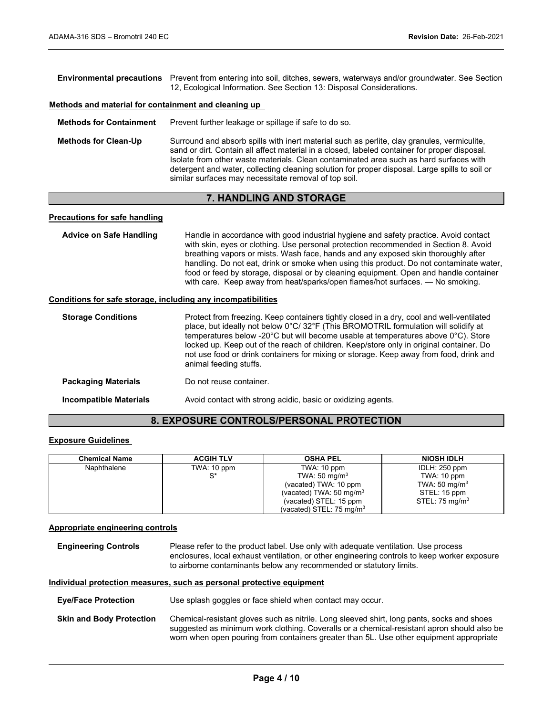| <b>Environmental precautions</b> Prevent from entering into soil, ditches, sewers, waterways and/or groundwater. See Section<br>12. Ecological Information. See Section 13: Disposal Considerations. |
|------------------------------------------------------------------------------------------------------------------------------------------------------------------------------------------------------|
|                                                                                                                                                                                                      |

## **Methods and material for containment and cleaning up**

**Methods for Containment** Prevent further leakage or spillage if safe to do so.

**Methods for Clean-Up** Surround and absorb spills with inert material such as perlite, clay granules, vermiculite, sand or dirt. Contain all affect material in a closed, labeled container for proper disposal. Isolate from other waste materials. Clean contaminated area such as hard surfaces with detergent and water, collecting cleaning solution for proper disposal. Large spills to soil or similar surfaces may necessitate removal of top soil.

## **7. HANDLING AND STORAGE**

## **Precautions for safe handling**

| <b>Advice on Safe Handling</b> | Handle in accordance with good industrial hygiene and safety practice. Avoid contact<br>with skin, eyes or clothing. Use personal protection recommended in Section 8. Avoid<br>breathing vapors or mists. Wash face, hands and any exposed skin thoroughly after<br>handling. Do not eat, drink or smoke when using this product. Do not contaminate water,<br>food or feed by storage, disposal or by cleaning equipment. Open and handle container<br>with care. Keep away from heat/sparks/open flames/hot surfaces. - No smoking. |
|--------------------------------|----------------------------------------------------------------------------------------------------------------------------------------------------------------------------------------------------------------------------------------------------------------------------------------------------------------------------------------------------------------------------------------------------------------------------------------------------------------------------------------------------------------------------------------|
|                                |                                                                                                                                                                                                                                                                                                                                                                                                                                                                                                                                        |

### **Conditions for safe storage, including any incompatibilities**

| <b>Storage Conditions</b>     | Protect from freezing. Keep containers tightly closed in a dry, cool and well-ventilated<br>place, but ideally not below 0°C/ 32°F (This BROMOTRIL formulation will solidify at<br>temperatures below -20°C but will become usable at temperatures above 0°C). Store<br>locked up. Keep out of the reach of children. Keep/store only in original container. Do<br>not use food or drink containers for mixing or storage. Keep away from food, drink and<br>animal feeding stuffs. |  |
|-------------------------------|-------------------------------------------------------------------------------------------------------------------------------------------------------------------------------------------------------------------------------------------------------------------------------------------------------------------------------------------------------------------------------------------------------------------------------------------------------------------------------------|--|
| <b>Packaging Materials</b>    | Do not reuse container.                                                                                                                                                                                                                                                                                                                                                                                                                                                             |  |
| <b>Incompatible Materials</b> | Avoid contact with strong acidic, basic or oxidizing agents.                                                                                                                                                                                                                                                                                                                                                                                                                        |  |

## **8. EXPOSURE CONTROLS/PERSONAL PROTECTION**

## **Exposure Guidelines**

| <b>Chemical Name</b> | <b>ACGIH TLV</b> | <b>OSHA PEL</b>                     | <b>NIOSH IDLH</b>         |
|----------------------|------------------|-------------------------------------|---------------------------|
| Naphthalene          | TWA: 10 ppm      | TWA: 10 ppm                         | IDLH: 250 ppm             |
|                      | $^{\circ\star}$  | TWA: $50 \text{ mg/m}^3$            | TWA: 10 ppm               |
|                      |                  | (vacated) TWA: 10 ppm               | TWA: 50 mg/m <sup>3</sup> |
|                      |                  | (vacated) TWA: $50 \text{ mg/m}^3$  | STEL: 15 ppm              |
|                      |                  | (vacated) STEL: 15 ppm              | STEL: $75 \text{ mg/m}^3$ |
|                      |                  | (vacated) STEL: $75 \text{ mg/m}^3$ |                           |

### **Appropriate engineering controls**

**Engineering Controls** Please refer to the product label. Use only with adequate ventilation. Use process enclosures, local exhaust ventilation, or other engineering controls to keep worker exposure to airborne contaminants below any recommended or statutory limits.

### **Individual protection measures, such as personal protective equipment**

**Eye/Face Protection** Use splash goggles or face shield when contact may occur.

**Skin and Body Protection** Chemical-resistant gloves such as nitrile. Long sleeved shirt, long pants, socks and shoes suggested as minimum work clothing. Coveralls or a chemical-resistant apron should also be worn when open pouring from containers greater than 5L. Use other equipment appropriate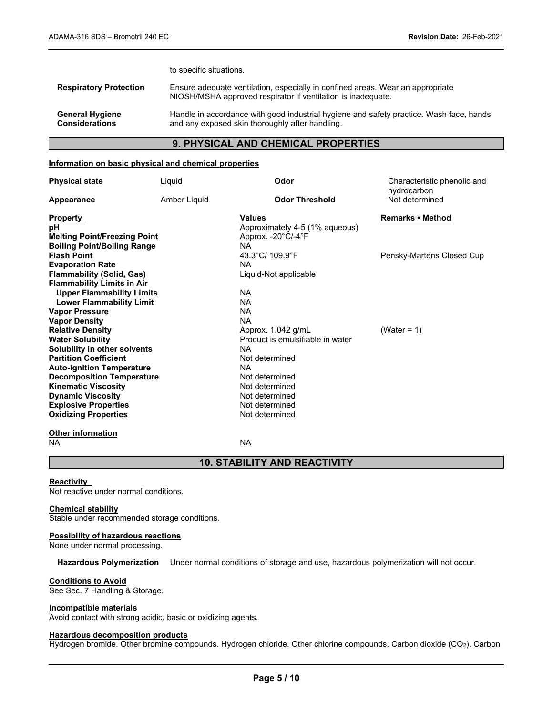to specific situations.

| <b>Respiratory Protection</b> | Ensure adequate ventilation, especially in confined areas. Wear an appropriate<br>NIOSH/MSHA approved respirator if ventilation is inadequate. |
|-------------------------------|------------------------------------------------------------------------------------------------------------------------------------------------|
| <b>General Hygiene</b>        | Handle in accordance with good industrial hygiene and safety practice. Wash face, hands                                                        |
| <b>Considerations</b>         | and any exposed skin thoroughly after handling.                                                                                                |

## **9. PHYSICAL AND CHEMICAL PROPERTIES**

## **Information on basic physical and chemical properties**

| <b>Physical state</b>               | Liquid       | Odor                             | Characteristic phenolic and<br>hydrocarbon |
|-------------------------------------|--------------|----------------------------------|--------------------------------------------|
| Appearance                          | Amber Liquid | <b>Odor Threshold</b>            | Not determined                             |
| <b>Property</b>                     |              | Values                           | Remarks • Method                           |
| рH                                  |              | Approximately 4-5 (1% aqueous)   |                                            |
| <b>Melting Point/Freezing Point</b> |              | Approx. -20°C/-4°F               |                                            |
| <b>Boiling Point/Boiling Range</b>  |              | NA.                              |                                            |
| <b>Flash Point</b>                  |              | 43.3°C/ 109.9°F                  | Pensky-Martens Closed Cup                  |
| <b>Evaporation Rate</b>             |              | <b>NA</b>                        |                                            |
| <b>Flammability (Solid, Gas)</b>    |              | Liquid-Not applicable            |                                            |
| <b>Flammability Limits in Air</b>   |              |                                  |                                            |
| <b>Upper Flammability Limits</b>    |              | NA.                              |                                            |
| <b>Lower Flammability Limit</b>     |              | <b>NA</b>                        |                                            |
| <b>Vapor Pressure</b>               |              | <b>NA</b>                        |                                            |
| <b>Vapor Density</b>                |              | <b>NA</b>                        |                                            |
| <b>Relative Density</b>             |              | Approx. 1.042 g/mL               | (Water = 1)                                |
| <b>Water Solubility</b>             |              | Product is emulsifiable in water |                                            |
| Solubility in other solvents        |              | <b>NA</b>                        |                                            |
| <b>Partition Coefficient</b>        |              | Not determined                   |                                            |
| <b>Auto-ignition Temperature</b>    |              | <b>NA</b>                        |                                            |
| <b>Decomposition Temperature</b>    |              | Not determined                   |                                            |
| <b>Kinematic Viscosity</b>          |              | Not determined                   |                                            |
| <b>Dynamic Viscosity</b>            |              | Not determined                   |                                            |
| <b>Explosive Properties</b>         |              | Not determined                   |                                            |
| <b>Oxidizing Properties</b>         |              | Not determined                   |                                            |

## **Other information**<br>NA

NA NA

## **10. STABILITY AND REACTIVITY**

## **Reactivity**

Not reactive under normal conditions.

## **Chemical stability**

Stable under recommended storage conditions.

## **Possibility of hazardous reactions**

None under normal processing.

**Hazardous Polymerization** Under normal conditions of storage and use, hazardous polymerization will not occur.

## **Conditions to Avoid**

See Sec. 7 Handling & Storage.

#### **Incompatible materials**

Avoid contact with strong acidic, basic or oxidizing agents.

## **Hazardous decomposition products**

Hydrogen bromide. Other bromine compounds. Hydrogen chloride. Other chlorine compounds. Carbon dioxide (CO2). Carbon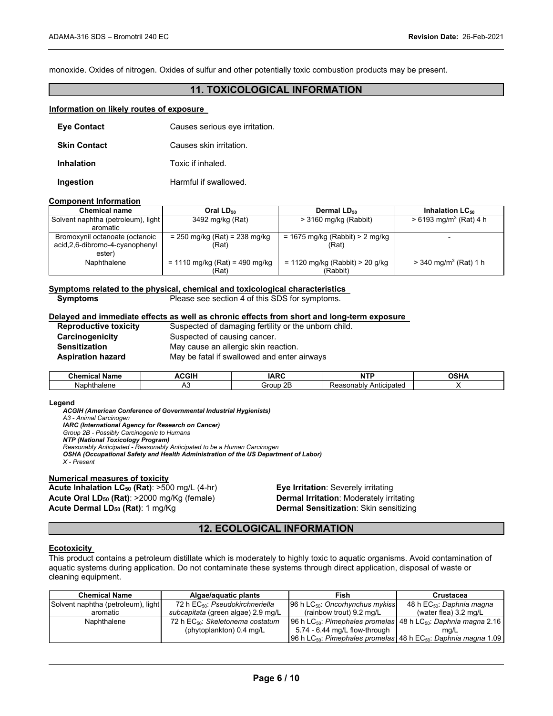monoxide. Oxides of nitrogen. Oxides of sulfur and other potentially toxic combustion products may be present.

## **11. TOXICOLOGICAL INFORMATION**

#### **Information on likely routes of exposure**

| <b>Eye Contact</b>  | Causes serious eye irritation. |
|---------------------|--------------------------------|
| <b>Skin Contact</b> | Causes skin irritation.        |
| Inhalation          | Toxic if inhaled.              |
| Ingestion           | Harmful if swallowed.          |

#### **Component Information**

| <b>Chemical name</b>               | Oral $LD_{50}$                   | Dermal LD <sub>50</sub>         | Inhalation $LC_{50}$                 |
|------------------------------------|----------------------------------|---------------------------------|--------------------------------------|
| Solvent naphtha (petroleum), light | 3492 mg/kg (Rat)                 | $>$ 3160 mg/kg (Rabbit)         | $> 6193$ mg/m <sup>3</sup> (Rat) 4 h |
| aromatic                           |                                  |                                 |                                      |
| Bromoxynil octanoate (octanoic     | $= 250$ mg/kg (Rat) = 238 mg/kg  | = 1675 mg/kg (Rabbit) > 2 mg/kg |                                      |
| acid, 2, 6-dibromo-4-cyanophenyl   | (Rat)                            | (Rat)                           |                                      |
| ester)                             |                                  |                                 |                                      |
| Naphthalene                        | $= 1110$ mg/kg (Rat) = 490 mg/kg | = 1120 mg/kg (Rabbit) > 20 g/kg | $>$ 340 mg/m <sup>3</sup> (Rat) 1 h  |
|                                    | (Rat)                            | (Rabbit)                        |                                      |

## **Symptoms related to the physical, chemical and toxicological characteristics**

Please see section 4 of this SDS for symptoms.

#### **Delayed and immediate effects as well as chronic effects from short and long-term exposure**

| <b>Reproductive toxicity</b> | Suspected of damaging fertility or the unborn child. |
|------------------------------|------------------------------------------------------|
| Carcinogenicity              | Suspected of causing cancer.                         |
| Sensitization                | May cause an allergic skin reaction.                 |
| Aspiration hazard            | May be fatal if swallowed and enter airways          |
|                              |                                                      |

| $^{\circ}$ hemi<br><b>Name</b><br>. | <b>CGIF</b> | ----<br>⊣AP′       | $\cdots$                           | ឹកមារ |
|-------------------------------------|-------------|--------------------|------------------------------------|-------|
| Nap<br>™halene                      | ∼           | OD.<br>`roup<br>JГ | Anticipated<br>าsonablv<br>Reasul. |       |

#### **Legend**

*ACGIH (American Conference of Governmental Industrial Hygienists) A3 - Animal Carcinogen IARC (International Agency for Research on Cancer) Group 2B - Possibly Carcinogenic to Humans NTP (National Toxicology Program) Reasonably Anticipated - Reasonably Anticipated to be a Human Carcinogen OSHA (Occupational Safety and Health Administration of the US Department of Labor) X - Present* 

#### **Numerical measures of toxicity**

**Acute Inhalation LC50 (Rat)**: >500 mg/L (4-hr) **Eye Irritation**: Severely irritating **Acute Oral LD50 (Rat)**: >2000 mg/Kg (female) **Dermal Irritation**: Moderately irritating **Acute Dermal LD50 (Rat)**: 1 mg/Kg **Dermal Sensitization**: Skin sensitizing

## **12. ECOLOGICAL INFORMATION**

#### **Ecotoxicity**

This product contains a petroleum distillate which is moderately to highly toxic to aquatic organisms. Avoid contamination of aquatic systems during application. Do not contaminate these systems through direct application, disposal of waste or cleaning equipment.

| <b>Chemical Name</b>               | Algae/aquatic plants                         | Fish                                                                                   | Crustacea                             |  |
|------------------------------------|----------------------------------------------|----------------------------------------------------------------------------------------|---------------------------------------|--|
| Solvent naphtha (petroleum), light | 72 h EC <sub>50</sub> : Pseudokirchneriella  | 96 h $LC_{50}$ : Oncorhynchus mykiss                                                   | 48 h EC <sub>50</sub> : Daphnia magna |  |
| aromatic                           | subcapitata (green algae) 2.9 mg/L           | (rainbow trout) $9.2 \text{ ma/L}$                                                     | (water flea) $3.2 \text{ ma/L}$       |  |
| Naphthalene                        | 72 h EC <sub>50</sub> : Skeletonema costatum | 96 h LC $_{50}$ : Pimephales promelas 48 h LC $_{50}$ : Daphnia magna 2.16             |                                       |  |
|                                    | (phytoplankton) 0.4 mg/L                     | 5.74 - 6.44 mg/L flow-through                                                          | mq/L                                  |  |
|                                    |                                              | 96 h LC <sub>50</sub> . Pimephales promelas 48 h EC <sub>50</sub> . Daphnia magna 1.09 |                                       |  |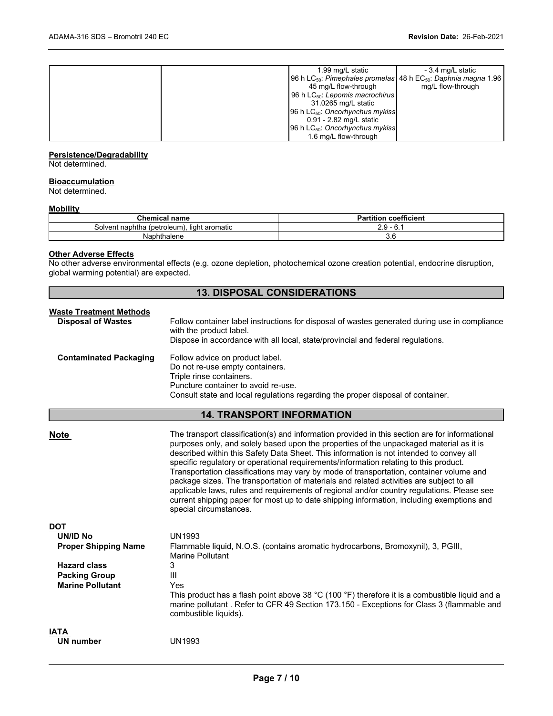| 1.99 mg/L static                                                                       | - 3.4 mg/L static |
|----------------------------------------------------------------------------------------|-------------------|
| 96 h LC <sub>50</sub> . Pimephales promelas 48 h EC <sub>50</sub> . Daphnia magna 1.96 |                   |
| 45 mg/L flow-through                                                                   | mg/L flow-through |
| 96 h $LC_{50}$ : Lepomis macrochirus                                                   |                   |
| 31.0265 mg/L static                                                                    |                   |
| 96 h $LC_{50}$ : Oncorhynchus mykiss                                                   |                   |
| 0.91 - 2.82 mg/L static                                                                |                   |
| 96 h $LC_{50}$ : Oncorhynchus mykiss                                                   |                   |
| 1.6 mg/L flow-through                                                                  |                   |
|                                                                                        |                   |

#### **Persistence/Degradability**

Not determined.

## **Bioaccumulation**

Not determined.

## **Mobility**

| Chemical<br>name                                         | <b>Partition coefficient</b> |
|----------------------------------------------------------|------------------------------|
| t naphtha<br>(petroleum).<br>. light aromatic<br>Solvent | ∸.∪<br>v.                    |
| Naphthalene                                              | 3.6                          |

## **Other Adverse Effects**

No other adverse environmental effects (e.g. ozone depletion, photochemical ozone creation potential, endocrine disruption, global warming potential) are expected.

## **13. DISPOSAL CONSIDERATIONS**

| <b>Waste Treatment Methods</b><br><b>Disposal of Wastes</b> | Follow container label instructions for disposal of wastes generated during use in compliance<br>with the product label.                                                                                                 |
|-------------------------------------------------------------|--------------------------------------------------------------------------------------------------------------------------------------------------------------------------------------------------------------------------|
|                                                             | Dispose in accordance with all local, state/provincial and federal regulations.                                                                                                                                          |
| <b>Contaminated Packaging</b>                               | Follow advice on product label.<br>Do not re-use empty containers.<br>Triple rinse containers.<br>Puncture container to avoid re-use.<br>Consult state and local regulations regarding the proper disposal of container. |

## **14. TRANSPORT INFORMATION**

| <b>Note</b>                                                                                                                     | The transport classification(s) and information provided in this section are for informational<br>purposes only, and solely based upon the properties of the unpackaged material as it is<br>described within this Safety Data Sheet. This information is not intended to convey all<br>specific regulatory or operational requirements/information relating to this product.<br>Transportation classifications may vary by mode of transportation, container volume and<br>package sizes. The transportation of materials and related activities are subject to all<br>applicable laws, rules and requirements of regional and/or country regulations. Please see<br>current shipping paper for most up to date shipping information, including exemptions and<br>special circumstances. |
|---------------------------------------------------------------------------------------------------------------------------------|-------------------------------------------------------------------------------------------------------------------------------------------------------------------------------------------------------------------------------------------------------------------------------------------------------------------------------------------------------------------------------------------------------------------------------------------------------------------------------------------------------------------------------------------------------------------------------------------------------------------------------------------------------------------------------------------------------------------------------------------------------------------------------------------|
| <b>DOT</b><br>UN/ID No<br><b>Proper Shipping Name</b><br><b>Hazard class</b><br><b>Packing Group</b><br><b>Marine Pollutant</b> | <b>UN1993</b><br>Flammable liquid, N.O.S. (contains aromatic hydrocarbons, Bromoxynil), 3, PGIII,<br>Marine Pollutant<br>3<br>Ш<br>Yes<br>This product has a flash point above 38 $^{\circ}$ C (100 $^{\circ}$ F) therefore it is a combustible liquid and a<br>marine pollutant . Refer to CFR 49 Section 173.150 - Exceptions for Class 3 (flammable and<br>combustible liquids).                                                                                                                                                                                                                                                                                                                                                                                                       |
| <b>IATA</b><br><b>UN number</b>                                                                                                 | <b>UN1993</b>                                                                                                                                                                                                                                                                                                                                                                                                                                                                                                                                                                                                                                                                                                                                                                             |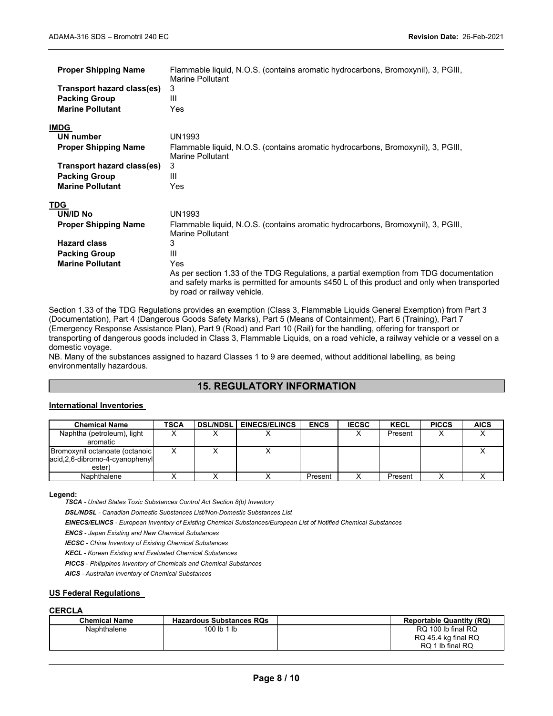| <b>Proper Shipping Name</b><br>Transport hazard class(es)<br><b>Packing Group</b><br><b>Marine Pollutant</b> | Flammable liquid, N.O.S. (contains aromatic hydrocarbons, Bromoxynil), 3, PGIII,<br>Marine Pollutant<br>3<br>Ш<br>Yes                                                                                               |
|--------------------------------------------------------------------------------------------------------------|---------------------------------------------------------------------------------------------------------------------------------------------------------------------------------------------------------------------|
| <b>IMDG</b>                                                                                                  |                                                                                                                                                                                                                     |
| UN number                                                                                                    | <b>UN1993</b>                                                                                                                                                                                                       |
| <b>Proper Shipping Name</b>                                                                                  | Flammable liquid, N.O.S. (contains aromatic hydrocarbons, Bromoxynil), 3, PGIII,<br>Marine Pollutant                                                                                                                |
| Transport hazard class(es)                                                                                   | 3                                                                                                                                                                                                                   |
| <b>Packing Group</b>                                                                                         | Ш                                                                                                                                                                                                                   |
| <b>Marine Pollutant</b>                                                                                      | Yes                                                                                                                                                                                                                 |
| TDG                                                                                                          |                                                                                                                                                                                                                     |
| UN/ID No                                                                                                     | <b>UN1993</b>                                                                                                                                                                                                       |
| <b>Proper Shipping Name</b>                                                                                  | Flammable liquid, N.O.S. (contains aromatic hydrocarbons, Bromoxynil), 3, PGIII,<br>Marine Pollutant                                                                                                                |
| <b>Hazard class</b>                                                                                          | 3                                                                                                                                                                                                                   |
| <b>Packing Group</b>                                                                                         | Ш                                                                                                                                                                                                                   |
| <b>Marine Pollutant</b>                                                                                      | Yes                                                                                                                                                                                                                 |
|                                                                                                              | As per section 1.33 of the TDG Regulations, a partial exemption from TDG documentation<br>and safety marks is permitted for amounts ≤450 L of this product and only when transported<br>by road or railway vehicle. |

Section 1.33 of the TDG Regulations provides an exemption (Class 3, Flammable Liquids General Exemption) from Part 3 (Documentation), Part 4 (Dangerous Goods Safety Marks), Part 5 (Means of Containment), Part 6 (Training), Part 7 (Emergency Response Assistance Plan), Part 9 (Road) and Part 10 (Rail) for the handling, offering for transport or transporting of dangerous goods included in Class 3, Flammable Liquids, on a road vehicle, a railway vehicle or a vessel on a domestic voyage.

NB. Many of the substances assigned to hazard Classes 1 to 9 are deemed, without additional labelling, as being environmentally hazardous.

## **15. REGULATORY INFORMATION**

## **International Inventories**

| <b>Chemical Name</b>                                                          | TSCA | <b>DSL/NDSLI</b> | <b>EINECS/ELINCS</b> | <b>ENCS</b> | <b>IECSC</b> | <b>KECL</b> | <b>PICCS</b> | <b>AICS</b> |
|-------------------------------------------------------------------------------|------|------------------|----------------------|-------------|--------------|-------------|--------------|-------------|
| Naphtha (petroleum), light<br>aromatic                                        | ⌒    |                  |                      |             |              | Present     |              |             |
| Bromoxynil octanoate (octanoic)<br>acid, 2, 6-dibromo-4-cyanophenyl<br>ester) |      |                  |                      |             |              |             |              |             |
| Naphthalene                                                                   |      |                  |                      | Present     |              | Present     |              |             |

#### **Legend:**

*TSCA - United States Toxic Substances Control Act Section 8(b) Inventory* 

*DSL/NDSL - Canadian Domestic Substances List/Non-Domestic Substances List* 

*EINECS/ELINCS - European Inventory of Existing Chemical Substances/European List of Notified Chemical Substances* 

*ENCS - Japan Existing and New Chemical Substances* 

*IECSC - China Inventory of Existing Chemical Substances* 

*KECL - Korean Existing and Evaluated Chemical Substances* 

*PICCS - Philippines Inventory of Chemicals and Chemical Substances* 

*AICS - Australian Inventory of Chemical Substances* 

## **US Federal Regulations**

## **CERCLA**

| <b>Chemical Name</b> | <b>Hazardous Substances RQs</b> | <b>Reportable Quantity (RQ)</b> |
|----------------------|---------------------------------|---------------------------------|
| Naphthalene          | 100 lb 1 lb                     | RQ 100 lb final RQ              |
|                      |                                 | RQ 45.4 kg final RQ             |
|                      |                                 | RQ 1 lb final RQ                |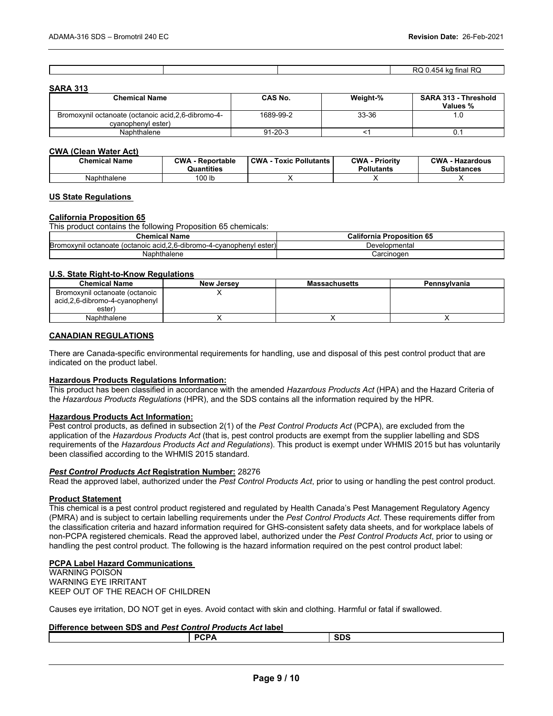|  | . . |
|--|-----|
|  |     |
|  |     |
|  |     |

### **SARA 313**

| <b>Chemical Name</b>                                                       | <b>CAS No.</b> | Weight-% | <b>SARA 313 - Threshold</b><br>Values % |
|----------------------------------------------------------------------------|----------------|----------|-----------------------------------------|
| Bromoxynil octanoate (octanoic acid, 2, 6-dibromo-4-<br>cvanophenyl ester) | 1689-99-2      | 33-36    | .U                                      |
| Naphthalene                                                                | 91-20-3        |          | U.                                      |

#### **CWA (Clean Water Act)**

| <b>Chemical Name</b> | <b>CWA - Reportable</b><br>Quantities | <b>CWA - Toxic Pollutants</b> | <b>CWA - Priority</b><br><b>Pollutants</b> | <b>CWA - Hazardous</b><br>Substances |
|----------------------|---------------------------------------|-------------------------------|--------------------------------------------|--------------------------------------|
| Naphthalene          | 100 <sub>lb</sub>                     |                               |                                            |                                      |

#### **US State Regulations**

#### **California Proposition 65**

This product contains the following Proposition 65 chemicals:

| Chemical Name                                                          | <b>Califorr</b><br>Proposition 65<br>nia |
|------------------------------------------------------------------------|------------------------------------------|
| Bromoxynil octanoate (octanoic acid, 2, 6-dibromo-4-cyanophenyl ester) | Developmental                            |
| Naphthalene                                                            | Carcinoɑen                               |

## **U.S. State Right-to-Know Regulations**

| <b>Chemical Name</b>                                                       | <b>New Jersey</b> | <b>Massachusetts</b> | Pennsylvania |
|----------------------------------------------------------------------------|-------------------|----------------------|--------------|
| Bromoxynil octanoate (octanoic<br>acid,2,6-dibromo-4-cyanophenyl<br>ester) |                   |                      |              |
| Naphthalene                                                                |                   |                      |              |

## **CANADIAN REGULATIONS**

There are Canada-specific environmental requirements for handling, use and disposal of this pest control product that are indicated on the product label.

#### **Hazardous Products Regulations Information:**

This product has been classified in accordance with the amended *Hazardous Products Act* (HPA) and the Hazard Criteria of the *Hazardous Products Regulations* (HPR), and the SDS contains all the information required by the HPR.

### **Hazardous Products Act Information:**

Pest control products, as defined in subsection 2(1) of the *Pest Control Products Act* (PCPA), are excluded from the application of the *Hazardous Products Act* (that is, pest control products are exempt from the supplier labelling and SDS requirements of the *Hazardous Products Act and Regulations*). This product is exempt under WHMIS 2015 but has voluntarily been classified according to the WHMIS 2015 standard.

#### *Pest Control Products Act* **Registration Number:** 28276

Read the approved label, authorized under the *Pest Control Products Act*, prior to using or handling the pest control product.

#### **Product Statement**

This chemical is a pest control product registered and regulated by Health Canada's Pest Management Regulatory Agency (PMRA) and is subject to certain labelling requirements under the *Pest Control Products Act*. These requirements differ from the classification criteria and hazard information required for GHS-consistent safety data sheets, and for workplace labels of non-PCPA registered chemicals. Read the approved label, authorized under the *Pest Control Products Act*, prior to using or handling the pest control product. The following is the hazard information required on the pest control product label:

## **PCPA Label Hazard Communications**

WARNING POISON WARNING EYE IRRITANT KEEP OUT OF THE REACH OF CHILDREN

Causes eye irritation, DO NOT get in eyes. Avoid contact with skin and clothing. Harmful or fatal if swallowed.

## **Difference between SDS and** *Pest Control Products Act* **label**

| <b>DOD</b> | -- |
|------------|----|
|            |    |